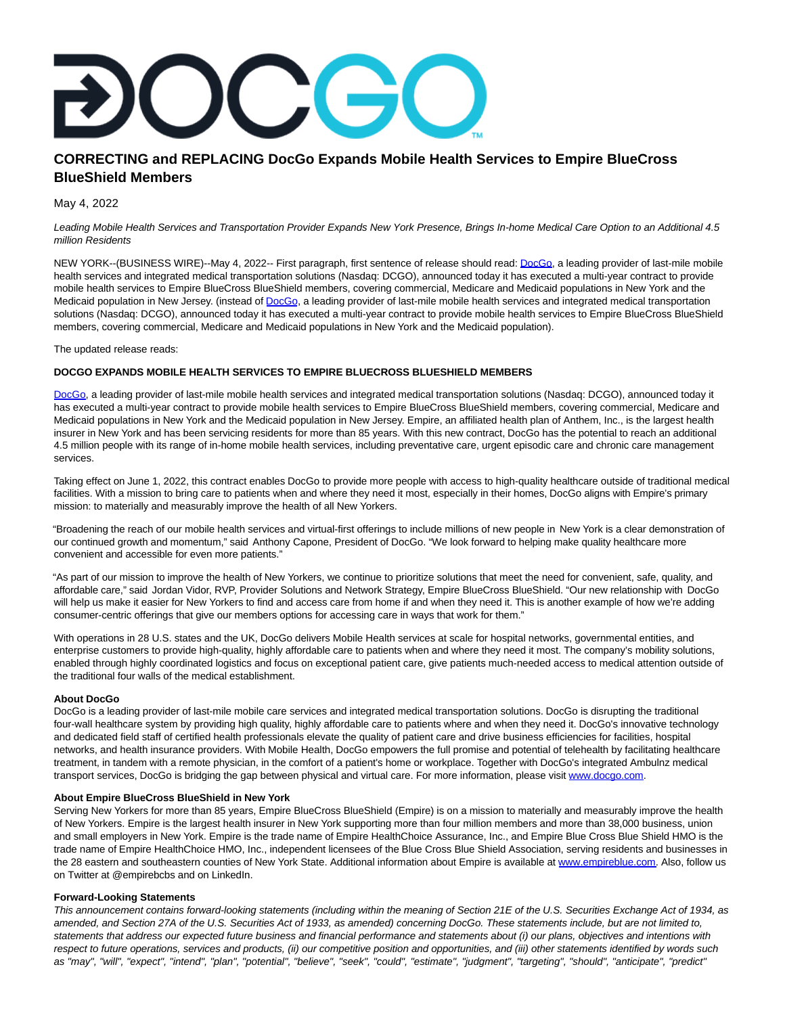# **CORRECTING and REPLACING DocGo Expands Mobile Health Services to Empire BlueCross BlueShield Members**

May 4, 2022

Leading Mobile Health Services and Transportation Provider Expands New York Presence, Brings In-home Medical Care Option to an Additional 4.5 million Residents

NEW YORK--(BUSINESS WIRE)--May 4, 2022-- First paragraph, first sentence of release should read: [DocGo,](https://cts.businesswire.com/ct/CT?id=smartlink&url=https%3A%2F%2Fwww.docgo.com%2F&esheet=52702765&newsitemid=20220504005022&lan=en-US&anchor=DocGo&index=1&md5=25f4082cc5eb9d150b57e748e2ddef15) a leading provider of last-mile mobile health services and integrated medical transportation solutions (Nasdaq: DCGO), announced today it has executed a multi-year contract to provide mobile health services to Empire BlueCross BlueShield members, covering commercial, Medicare and Medicaid populations in New York and the Medicaid population in New Jersey. (instead of [DocGo,](https://cts.businesswire.com/ct/CT?id=smartlink&url=https%3A%2F%2Fwww.docgo.com%2F&esheet=52702765&newsitemid=20220504005022&lan=en-US&anchor=DocGo&index=2&md5=35fdbb0d093e5eb54ef7d7bf68c39444) a leading provider of last-mile mobile health services and integrated medical transportation solutions (Nasdaq: DCGO), announced today it has executed a multi-year contract to provide mobile health services to Empire BlueCross BlueShield members, covering commercial, Medicare and Medicaid populations in New York and the Medicaid population).

The updated release reads:

## **DOCGO EXPANDS MOBILE HEALTH SERVICES TO EMPIRE BLUECROSS BLUESHIELD MEMBERS**

[DocGo,](https://cts.businesswire.com/ct/CT?id=smartlink&url=https%3A%2F%2Fwww.docgo.com%2F&esheet=52702765&newsitemid=20220504005022&lan=en-US&anchor=DocGo&index=3&md5=0e015b2f9c97ef63c40994635593b250) a leading provider of last-mile mobile health services and integrated medical transportation solutions (Nasdaq: DCGO), announced today it has executed a multi-year contract to provide mobile health services to Empire BlueCross BlueShield members, covering commercial, Medicare and Medicaid populations in New York and the Medicaid population in New Jersey. Empire, an affiliated health plan of Anthem, Inc., is the largest health insurer in New York and has been servicing residents for more than 85 years. With this new contract, DocGo has the potential to reach an additional 4.5 million people with its range of in-home mobile health services, including preventative care, urgent episodic care and chronic care management services.

Taking effect on June 1, 2022, this contract enables DocGo to provide more people with access to high-quality healthcare outside of traditional medical facilities. With a mission to bring care to patients when and where they need it most, especially in their homes, DocGo aligns with Empire's primary mission: to materially and measurably improve the health of all New Yorkers.

"Broadening the reach of our mobile health services and virtual-first offerings to include millions of new people in New York is a clear demonstration of our continued growth and momentum," said Anthony Capone, President of DocGo. "We look forward to helping make quality healthcare more convenient and accessible for even more patients."

"As part of our mission to improve the health of New Yorkers, we continue to prioritize solutions that meet the need for convenient, safe, quality, and affordable care," said Jordan Vidor, RVP, Provider Solutions and Network Strategy, Empire BlueCross BlueShield. "Our new relationship with DocGo will help us make it easier for New Yorkers to find and access care from home if and when they need it. This is another example of how we're adding consumer-centric offerings that give our members options for accessing care in ways that work for them."

With operations in 28 U.S. states and the UK, DocGo delivers Mobile Health services at scale for hospital networks, governmental entities, and enterprise customers to provide high-quality, highly affordable care to patients when and where they need it most. The company's mobility solutions, enabled through highly coordinated logistics and focus on exceptional patient care, give patients much-needed access to medical attention outside of the traditional four walls of the medical establishment.

### **About DocGo**

DocGo is a leading provider of last-mile mobile care services and integrated medical transportation solutions. DocGo is disrupting the traditional four-wall healthcare system by providing high quality, highly affordable care to patients where and when they need it. DocGo's innovative technology and dedicated field staff of certified health professionals elevate the quality of patient care and drive business efficiencies for facilities, hospital networks, and health insurance providers. With Mobile Health, DocGo empowers the full promise and potential of telehealth by facilitating healthcare treatment, in tandem with a remote physician, in the comfort of a patient's home or workplace. Together with DocGo's integrated Ambulnz medical transport services, DocGo is bridging the gap between physical and virtual care. For more information, please visit [www.docgo.com.](https://cts.businesswire.com/ct/CT?id=smartlink&url=http%3A%2F%2Fwww.docgo.com&esheet=52702765&newsitemid=20220504005022&lan=en-US&anchor=www.docgo.com&index=4&md5=fb8e56264631e4278ee2472334688cd4)

### **About Empire BlueCross BlueShield in New York**

Serving New Yorkers for more than 85 years, Empire BlueCross BlueShield (Empire) is on a mission to materially and measurably improve the health of New Yorkers. Empire is the largest health insurer in New York supporting more than four million members and more than 38,000 business, union and small employers in New York. Empire is the trade name of Empire HealthChoice Assurance, Inc., and Empire Blue Cross Blue Shield HMO is the trade name of Empire HealthChoice HMO, Inc., independent licensees of the Blue Cross Blue Shield Association, serving residents and businesses in the 28 eastern and southeastern counties of New York State. Additional information about Empire is available at [www.empireblue.com.](https://cts.businesswire.com/ct/CT?id=smartlink&url=http%3A%2F%2Fwww.empireblue.com&esheet=52702765&newsitemid=20220504005022&lan=en-US&anchor=www.empireblue.com&index=5&md5=a14d070c65c21f1c6c17a2d4de156154) Also, follow us on Twitter at @empirebcbs and on LinkedIn.

### **Forward-Looking Statements**

This announcement contains forward-looking statements (including within the meaning of Section 21E of the U.S. Securities Exchange Act of 1934, as amended, and Section 27A of the U.S. Securities Act of 1933, as amended) concerning DocGo. These statements include, but are not limited to, statements that address our expected future business and financial performance and statements about (i) our plans, objectives and intentions with respect to future operations, services and products, (ii) our competitive position and opportunities, and (iii) other statements identified by words such as "may", "will", "expect", "intend", "plan", "potential", "believe", "seek", "could", "estimate", "judgment", "targeting", "should", "anticipate", "predict"